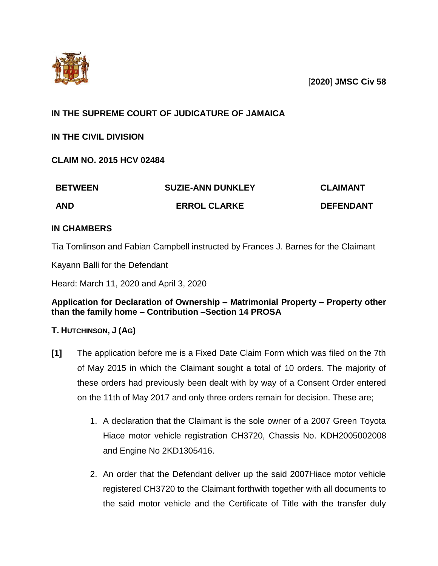

[**2020**] **JMSC Civ 58**

# **IN THE SUPREME COURT OF JUDICATURE OF JAMAICA**

**IN THE CIVIL DIVISION**

**CLAIM NO. 2015 HCV 02484**

| <b>BETWEEN</b> | <b>SUZIE-ANN DUNKLEY</b> | <b>CLAIMANT</b>  |
|----------------|--------------------------|------------------|
| <b>AND</b>     | <b>ERROL CLARKE</b>      | <b>DEFENDANT</b> |

## **IN CHAMBERS**

Tia Tomlinson and Fabian Campbell instructed by Frances J. Barnes for the Claimant

Kayann Balli for the Defendant

Heard: March 11, 2020 and April 3, 2020

## **Application for Declaration of Ownership – Matrimonial Property – Property other than the family home – Contribution –Section 14 PROSA**

## **T. HUTCHINSON, J (AG)**

- **[1]** The application before me is a Fixed Date Claim Form which was filed on the 7th of May 2015 in which the Claimant sought a total of 10 orders. The majority of these orders had previously been dealt with by way of a Consent Order entered on the 11th of May 2017 and only three orders remain for decision. These are;
	- 1. A declaration that the Claimant is the sole owner of a 2007 Green Toyota Hiace motor vehicle registration CH3720, Chassis No. KDH2005002008 and Engine No 2KD1305416.
	- 2. An order that the Defendant deliver up the said 2007Hiace motor vehicle registered CH3720 to the Claimant forthwith together with all documents to the said motor vehicle and the Certificate of Title with the transfer duly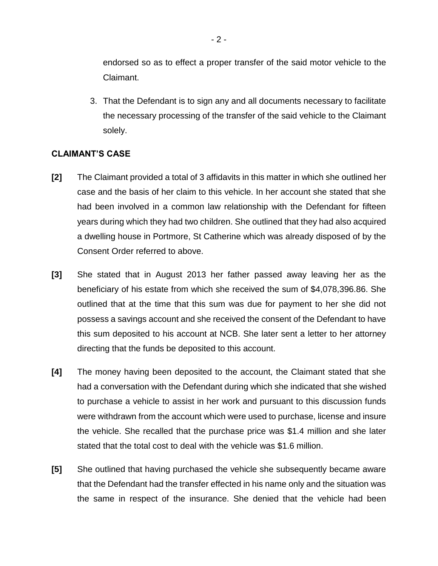endorsed so as to effect a proper transfer of the said motor vehicle to the Claimant.

3. That the Defendant is to sign any and all documents necessary to facilitate the necessary processing of the transfer of the said vehicle to the Claimant solely.

### **CLAIMANT'S CASE**

- **[2]** The Claimant provided a total of 3 affidavits in this matter in which she outlined her case and the basis of her claim to this vehicle. In her account she stated that she had been involved in a common law relationship with the Defendant for fifteen years during which they had two children. She outlined that they had also acquired a dwelling house in Portmore, St Catherine which was already disposed of by the Consent Order referred to above.
- **[3]** She stated that in August 2013 her father passed away leaving her as the beneficiary of his estate from which she received the sum of \$4,078,396.86. She outlined that at the time that this sum was due for payment to her she did not possess a savings account and she received the consent of the Defendant to have this sum deposited to his account at NCB. She later sent a letter to her attorney directing that the funds be deposited to this account.
- **[4]** The money having been deposited to the account, the Claimant stated that she had a conversation with the Defendant during which she indicated that she wished to purchase a vehicle to assist in her work and pursuant to this discussion funds were withdrawn from the account which were used to purchase, license and insure the vehicle. She recalled that the purchase price was \$1.4 million and she later stated that the total cost to deal with the vehicle was \$1.6 million.
- **[5]** She outlined that having purchased the vehicle she subsequently became aware that the Defendant had the transfer effected in his name only and the situation was the same in respect of the insurance. She denied that the vehicle had been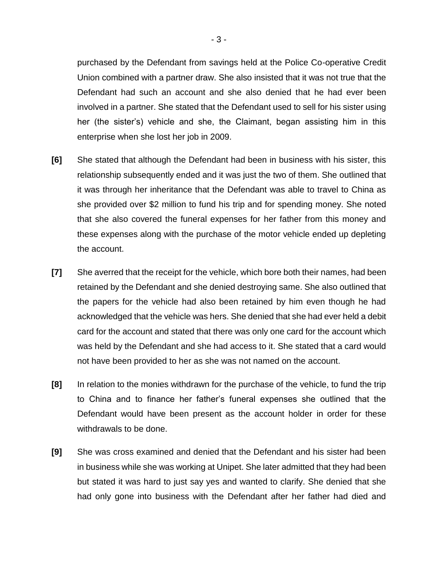purchased by the Defendant from savings held at the Police Co-operative Credit Union combined with a partner draw. She also insisted that it was not true that the Defendant had such an account and she also denied that he had ever been involved in a partner. She stated that the Defendant used to sell for his sister using her (the sister's) vehicle and she, the Claimant, began assisting him in this enterprise when she lost her job in 2009.

- **[6]** She stated that although the Defendant had been in business with his sister, this relationship subsequently ended and it was just the two of them. She outlined that it was through her inheritance that the Defendant was able to travel to China as she provided over \$2 million to fund his trip and for spending money. She noted that she also covered the funeral expenses for her father from this money and these expenses along with the purchase of the motor vehicle ended up depleting the account.
- **[7]** She averred that the receipt for the vehicle, which bore both their names, had been retained by the Defendant and she denied destroying same. She also outlined that the papers for the vehicle had also been retained by him even though he had acknowledged that the vehicle was hers. She denied that she had ever held a debit card for the account and stated that there was only one card for the account which was held by the Defendant and she had access to it. She stated that a card would not have been provided to her as she was not named on the account.
- **[8]** In relation to the monies withdrawn for the purchase of the vehicle, to fund the trip to China and to finance her father's funeral expenses she outlined that the Defendant would have been present as the account holder in order for these withdrawals to be done.
- **[9]** She was cross examined and denied that the Defendant and his sister had been in business while she was working at Unipet. She later admitted that they had been but stated it was hard to just say yes and wanted to clarify. She denied that she had only gone into business with the Defendant after her father had died and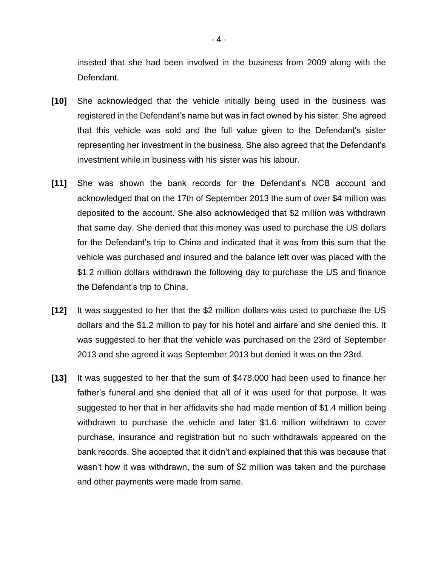insisted that she had been involved in the business from 2009 along with the Defendant.

- **[10]** She acknowledged that the vehicle initially being used in the business was registered in the Defendant's name but was in fact owned by his sister. She agreed that this vehicle was sold and the full value given to the Defendant's sister representing her investment in the business. She also agreed that the Defendant's investment while in business with his sister was his labour.
- **[11]** She was shown the bank records for the Defendant's NCB account and acknowledged that on the 17th of September 2013 the sum of over \$4 million was deposited to the account. She also acknowledged that \$2 million was withdrawn that same day. She denied that this money was used to purchase the US dollars for the Defendant's trip to China and indicated that it was from this sum that the vehicle was purchased and insured and the balance left over was placed with the \$1.2 million dollars withdrawn the following day to purchase the US and finance the Defendant's trip to China.
- **[12]** It was suggested to her that the \$2 million dollars was used to purchase the US dollars and the \$1.2 million to pay for his hotel and airfare and she denied this. It was suggested to her that the vehicle was purchased on the 23rd of September 2013 and she agreed it was September 2013 but denied it was on the 23rd.
- **[13]** It was suggested to her that the sum of \$478,000 had been used to finance her father's funeral and she denied that all of it was used for that purpose. It was suggested to her that in her affidavits she had made mention of \$1.4 million being withdrawn to purchase the vehicle and later \$1.6 million withdrawn to cover purchase, insurance and registration but no such withdrawals appeared on the bank records. She accepted that it didn't and explained that this was because that wasn't how it was withdrawn, the sum of \$2 million was taken and the purchase and other payments were made from same.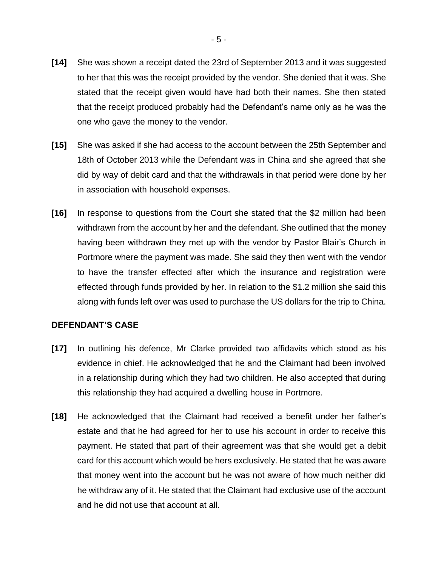- **[14]** She was shown a receipt dated the 23rd of September 2013 and it was suggested to her that this was the receipt provided by the vendor. She denied that it was. She stated that the receipt given would have had both their names. She then stated that the receipt produced probably had the Defendant's name only as he was the one who gave the money to the vendor.
- **[15]** She was asked if she had access to the account between the 25th September and 18th of October 2013 while the Defendant was in China and she agreed that she did by way of debit card and that the withdrawals in that period were done by her in association with household expenses.
- **[16]** In response to questions from the Court she stated that the \$2 million had been withdrawn from the account by her and the defendant. She outlined that the money having been withdrawn they met up with the vendor by Pastor Blair's Church in Portmore where the payment was made. She said they then went with the vendor to have the transfer effected after which the insurance and registration were effected through funds provided by her. In relation to the \$1.2 million she said this along with funds left over was used to purchase the US dollars for the trip to China.

#### **DEFENDANT'S CASE**

- **[17]** In outlining his defence, Mr Clarke provided two affidavits which stood as his evidence in chief. He acknowledged that he and the Claimant had been involved in a relationship during which they had two children. He also accepted that during this relationship they had acquired a dwelling house in Portmore.
- **[18]** He acknowledged that the Claimant had received a benefit under her father's estate and that he had agreed for her to use his account in order to receive this payment. He stated that part of their agreement was that she would get a debit card for this account which would be hers exclusively. He stated that he was aware that money went into the account but he was not aware of how much neither did he withdraw any of it. He stated that the Claimant had exclusive use of the account and he did not use that account at all.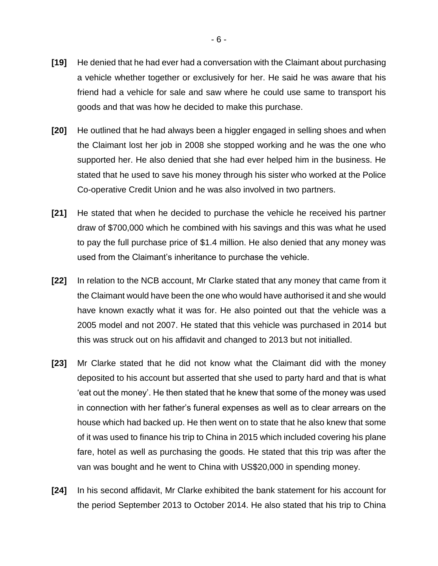- **[19]** He denied that he had ever had a conversation with the Claimant about purchasing a vehicle whether together or exclusively for her. He said he was aware that his friend had a vehicle for sale and saw where he could use same to transport his goods and that was how he decided to make this purchase.
- **[20]** He outlined that he had always been a higgler engaged in selling shoes and when the Claimant lost her job in 2008 she stopped working and he was the one who supported her. He also denied that she had ever helped him in the business. He stated that he used to save his money through his sister who worked at the Police Co-operative Credit Union and he was also involved in two partners.
- **[21]** He stated that when he decided to purchase the vehicle he received his partner draw of \$700,000 which he combined with his savings and this was what he used to pay the full purchase price of \$1.4 million. He also denied that any money was used from the Claimant's inheritance to purchase the vehicle.
- **[22]** In relation to the NCB account, Mr Clarke stated that any money that came from it the Claimant would have been the one who would have authorised it and she would have known exactly what it was for. He also pointed out that the vehicle was a 2005 model and not 2007. He stated that this vehicle was purchased in 2014 but this was struck out on his affidavit and changed to 2013 but not initialled.
- **[23]** Mr Clarke stated that he did not know what the Claimant did with the money deposited to his account but asserted that she used to party hard and that is what 'eat out the money'. He then stated that he knew that some of the money was used in connection with her father's funeral expenses as well as to clear arrears on the house which had backed up. He then went on to state that he also knew that some of it was used to finance his trip to China in 2015 which included covering his plane fare, hotel as well as purchasing the goods. He stated that this trip was after the van was bought and he went to China with US\$20,000 in spending money.
- **[24]** In his second affidavit, Mr Clarke exhibited the bank statement for his account for the period September 2013 to October 2014. He also stated that his trip to China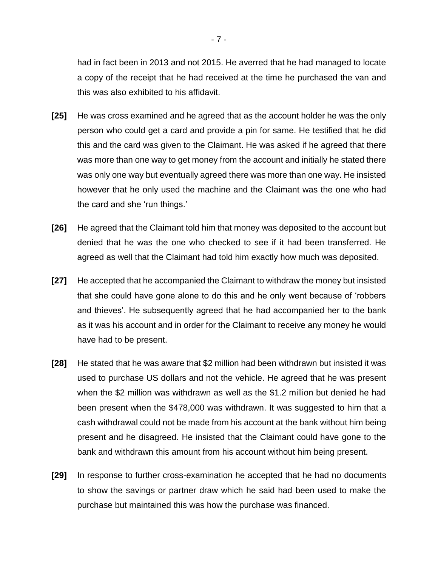had in fact been in 2013 and not 2015. He averred that he had managed to locate a copy of the receipt that he had received at the time he purchased the van and this was also exhibited to his affidavit.

- **[25]** He was cross examined and he agreed that as the account holder he was the only person who could get a card and provide a pin for same. He testified that he did this and the card was given to the Claimant. He was asked if he agreed that there was more than one way to get money from the account and initially he stated there was only one way but eventually agreed there was more than one way. He insisted however that he only used the machine and the Claimant was the one who had the card and she 'run things.'
- **[26]** He agreed that the Claimant told him that money was deposited to the account but denied that he was the one who checked to see if it had been transferred. He agreed as well that the Claimant had told him exactly how much was deposited.
- **[27]** He accepted that he accompanied the Claimant to withdraw the money but insisted that she could have gone alone to do this and he only went because of 'robbers and thieves'. He subsequently agreed that he had accompanied her to the bank as it was his account and in order for the Claimant to receive any money he would have had to be present.
- **[28]** He stated that he was aware that \$2 million had been withdrawn but insisted it was used to purchase US dollars and not the vehicle. He agreed that he was present when the \$2 million was withdrawn as well as the \$1.2 million but denied he had been present when the \$478,000 was withdrawn. It was suggested to him that a cash withdrawal could not be made from his account at the bank without him being present and he disagreed. He insisted that the Claimant could have gone to the bank and withdrawn this amount from his account without him being present.
- **[29]** In response to further cross-examination he accepted that he had no documents to show the savings or partner draw which he said had been used to make the purchase but maintained this was how the purchase was financed.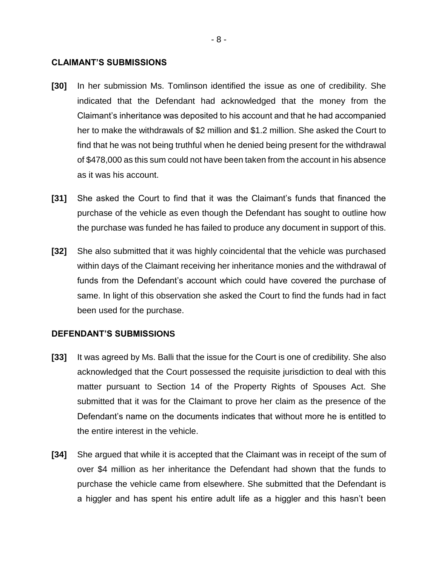#### **CLAIMANT'S SUBMISSIONS**

- **[30]** In her submission Ms. Tomlinson identified the issue as one of credibility. She indicated that the Defendant had acknowledged that the money from the Claimant's inheritance was deposited to his account and that he had accompanied her to make the withdrawals of \$2 million and \$1.2 million. She asked the Court to find that he was not being truthful when he denied being present for the withdrawal of \$478,000 as this sum could not have been taken from the account in his absence as it was his account.
- **[31]** She asked the Court to find that it was the Claimant's funds that financed the purchase of the vehicle as even though the Defendant has sought to outline how the purchase was funded he has failed to produce any document in support of this.
- **[32]** She also submitted that it was highly coincidental that the vehicle was purchased within days of the Claimant receiving her inheritance monies and the withdrawal of funds from the Defendant's account which could have covered the purchase of same. In light of this observation she asked the Court to find the funds had in fact been used for the purchase.

#### **DEFENDANT'S SUBMISSIONS**

- **[33]** It was agreed by Ms. Balli that the issue for the Court is one of credibility. She also acknowledged that the Court possessed the requisite jurisdiction to deal with this matter pursuant to Section 14 of the Property Rights of Spouses Act. She submitted that it was for the Claimant to prove her claim as the presence of the Defendant's name on the documents indicates that without more he is entitled to the entire interest in the vehicle.
- **[34]** She argued that while it is accepted that the Claimant was in receipt of the sum of over \$4 million as her inheritance the Defendant had shown that the funds to purchase the vehicle came from elsewhere. She submitted that the Defendant is a higgler and has spent his entire adult life as a higgler and this hasn't been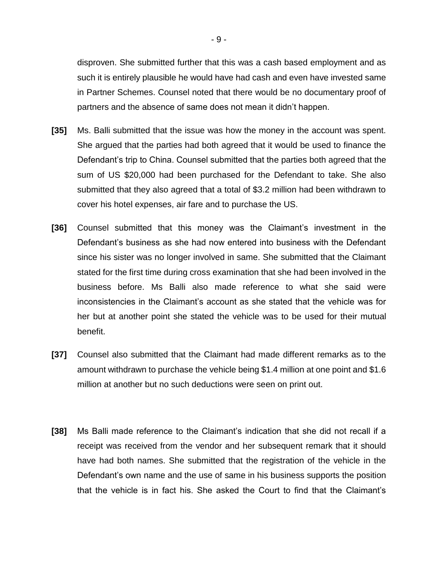disproven. She submitted further that this was a cash based employment and as such it is entirely plausible he would have had cash and even have invested same in Partner Schemes. Counsel noted that there would be no documentary proof of partners and the absence of same does not mean it didn't happen.

- **[35]** Ms. Balli submitted that the issue was how the money in the account was spent. She argued that the parties had both agreed that it would be used to finance the Defendant's trip to China. Counsel submitted that the parties both agreed that the sum of US \$20,000 had been purchased for the Defendant to take. She also submitted that they also agreed that a total of \$3.2 million had been withdrawn to cover his hotel expenses, air fare and to purchase the US.
- **[36]** Counsel submitted that this money was the Claimant's investment in the Defendant's business as she had now entered into business with the Defendant since his sister was no longer involved in same. She submitted that the Claimant stated for the first time during cross examination that she had been involved in the business before. Ms Balli also made reference to what she said were inconsistencies in the Claimant's account as she stated that the vehicle was for her but at another point she stated the vehicle was to be used for their mutual benefit.
- **[37]** Counsel also submitted that the Claimant had made different remarks as to the amount withdrawn to purchase the vehicle being \$1.4 million at one point and \$1.6 million at another but no such deductions were seen on print out.
- **[38]** Ms Balli made reference to the Claimant's indication that she did not recall if a receipt was received from the vendor and her subsequent remark that it should have had both names. She submitted that the registration of the vehicle in the Defendant's own name and the use of same in his business supports the position that the vehicle is in fact his. She asked the Court to find that the Claimant's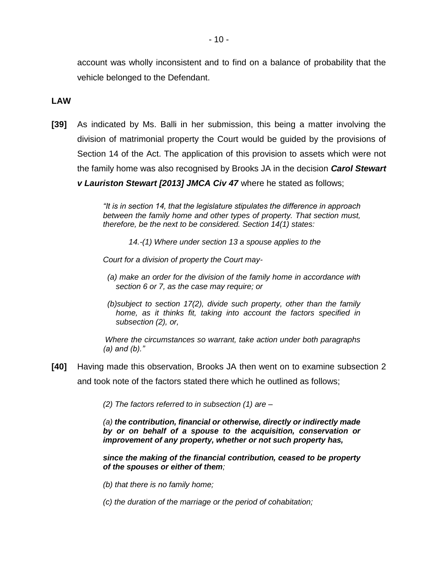account was wholly inconsistent and to find on a balance of probability that the vehicle belonged to the Defendant.

### **LAW**

**[39]** As indicated by Ms. Balli in her submission, this being a matter involving the division of matrimonial property the Court would be guided by the provisions of Section 14 of the Act. The application of this provision to assets which were not the family home was also recognised by Brooks JA in the decision *Carol Stewart* 

*v Lauriston Stewart [2013] JMCA Civ 47* where he stated as follows;

*"It is in section 14, that the legislature stipulates the difference in approach between the family home and other types of property. That section must, therefore, be the next to be considered. Section 14(1) states:*

*14.-(1) Where under section 13 a spouse applies to the*

*Court for a division of property the Court may-*

- *(a) make an order for the division of the family home in accordance with section 6 or 7, as the case may require; or*
- *(b)subject to section 17(2), divide such property, other than the family home, as it thinks fit, taking into account the factors specified in subsection (2), or,*

*Where the circumstances so warrant, take action under both paragraphs (a) and (b)."*

**[40]** Having made this observation, Brooks JA then went on to examine subsection 2 and took note of the factors stated there which he outlined as follows;

*(2) The factors referred to in subsection (1) are –*

*(a) the contribution, financial or otherwise, directly or indirectly made by or on behalf of a spouse to the acquisition, conservation or improvement of any property, whether or not such property has,*

*since the making of the financial contribution, ceased to be property of the spouses or either of them;*

*(b) that there is no family home;*

*(c) the duration of the marriage or the period of cohabitation;*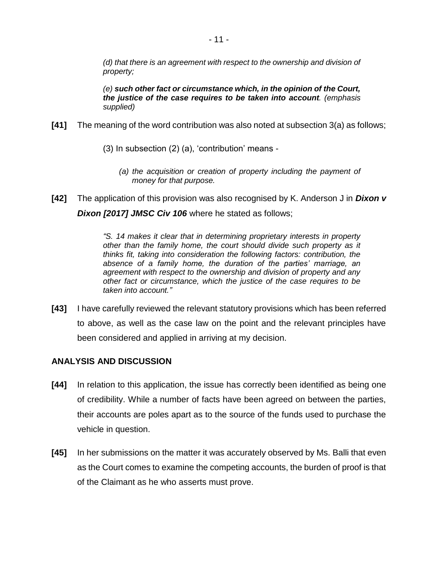*(d) that there is an agreement with respect to the ownership and division of property;*

*(e) such other fact or circumstance which, in the opinion of the Court, the justice of the case requires to be taken into account. (emphasis supplied)*

- **[41]** The meaning of the word contribution was also noted at subsection 3(a) as follows;
	- (3) In subsection (2) (a), 'contribution' means
		- *(a) the acquisition or creation of property including the payment of money for that purpose.*
- **[42]** The application of this provision was also recognised by K. Anderson J in *Dixon v Dixon [2017] JMSC Civ 106* where he stated as follows;

*"S. 14 makes it clear that in determining proprietary interests in property other than the family home, the court should divide such property as it thinks fit, taking into consideration the following factors: contribution, the absence of a family home, the duration of the parties' marriage, an agreement with respect to the ownership and division of property and any other fact or circumstance, which the justice of the case requires to be taken into account."*

**[43]** I have carefully reviewed the relevant statutory provisions which has been referred to above, as well as the case law on the point and the relevant principles have been considered and applied in arriving at my decision.

### **ANALYSIS AND DISCUSSION**

- **[44]** In relation to this application, the issue has correctly been identified as being one of credibility. While a number of facts have been agreed on between the parties, their accounts are poles apart as to the source of the funds used to purchase the vehicle in question.
- **[45]** In her submissions on the matter it was accurately observed by Ms. Balli that even as the Court comes to examine the competing accounts, the burden of proof is that of the Claimant as he who asserts must prove.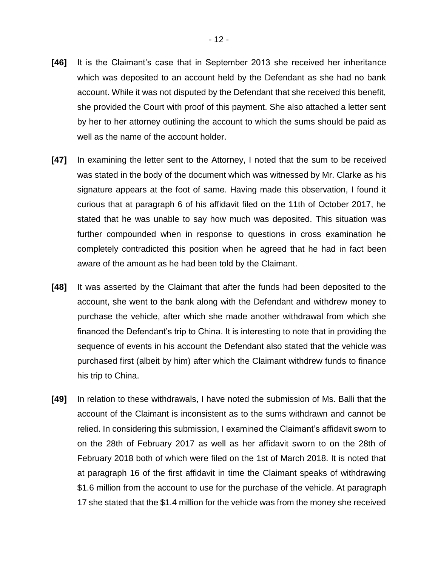- **[46]** It is the Claimant's case that in September 2013 she received her inheritance which was deposited to an account held by the Defendant as she had no bank account. While it was not disputed by the Defendant that she received this benefit, she provided the Court with proof of this payment. She also attached a letter sent by her to her attorney outlining the account to which the sums should be paid as well as the name of the account holder.
- **[47]** In examining the letter sent to the Attorney, I noted that the sum to be received was stated in the body of the document which was witnessed by Mr. Clarke as his signature appears at the foot of same. Having made this observation, I found it curious that at paragraph 6 of his affidavit filed on the 11th of October 2017, he stated that he was unable to say how much was deposited. This situation was further compounded when in response to questions in cross examination he completely contradicted this position when he agreed that he had in fact been aware of the amount as he had been told by the Claimant.
- **[48]** It was asserted by the Claimant that after the funds had been deposited to the account, she went to the bank along with the Defendant and withdrew money to purchase the vehicle, after which she made another withdrawal from which she financed the Defendant's trip to China. It is interesting to note that in providing the sequence of events in his account the Defendant also stated that the vehicle was purchased first (albeit by him) after which the Claimant withdrew funds to finance his trip to China.
- **[49]** In relation to these withdrawals, I have noted the submission of Ms. Balli that the account of the Claimant is inconsistent as to the sums withdrawn and cannot be relied. In considering this submission, I examined the Claimant's affidavit sworn to on the 28th of February 2017 as well as her affidavit sworn to on the 28th of February 2018 both of which were filed on the 1st of March 2018. It is noted that at paragraph 16 of the first affidavit in time the Claimant speaks of withdrawing \$1.6 million from the account to use for the purchase of the vehicle. At paragraph 17 she stated that the \$1.4 million for the vehicle was from the money she received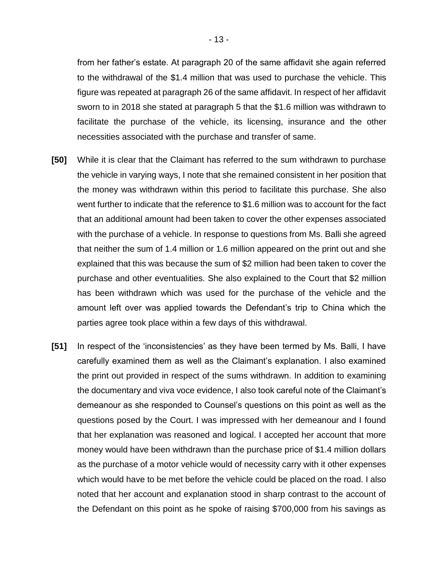from her father's estate. At paragraph 20 of the same affidavit she again referred to the withdrawal of the \$1.4 million that was used to purchase the vehicle. This figure was repeated at paragraph 26 of the same affidavit. In respect of her affidavit sworn to in 2018 she stated at paragraph 5 that the \$1.6 million was withdrawn to facilitate the purchase of the vehicle, its licensing, insurance and the other necessities associated with the purchase and transfer of same.

- **[50]** While it is clear that the Claimant has referred to the sum withdrawn to purchase the vehicle in varying ways, I note that she remained consistent in her position that the money was withdrawn within this period to facilitate this purchase. She also went further to indicate that the reference to \$1.6 million was to account for the fact that an additional amount had been taken to cover the other expenses associated with the purchase of a vehicle. In response to questions from Ms. Balli she agreed that neither the sum of 1.4 million or 1.6 million appeared on the print out and she explained that this was because the sum of \$2 million had been taken to cover the purchase and other eventualities. She also explained to the Court that \$2 million has been withdrawn which was used for the purchase of the vehicle and the amount left over was applied towards the Defendant's trip to China which the parties agree took place within a few days of this withdrawal.
- **[51]** In respect of the 'inconsistencies' as they have been termed by Ms. Balli, I have carefully examined them as well as the Claimant's explanation. I also examined the print out provided in respect of the sums withdrawn. In addition to examining the documentary and viva voce evidence, I also took careful note of the Claimant's demeanour as she responded to Counsel's questions on this point as well as the questions posed by the Court. I was impressed with her demeanour and I found that her explanation was reasoned and logical. I accepted her account that more money would have been withdrawn than the purchase price of \$1.4 million dollars as the purchase of a motor vehicle would of necessity carry with it other expenses which would have to be met before the vehicle could be placed on the road. I also noted that her account and explanation stood in sharp contrast to the account of the Defendant on this point as he spoke of raising \$700,000 from his savings as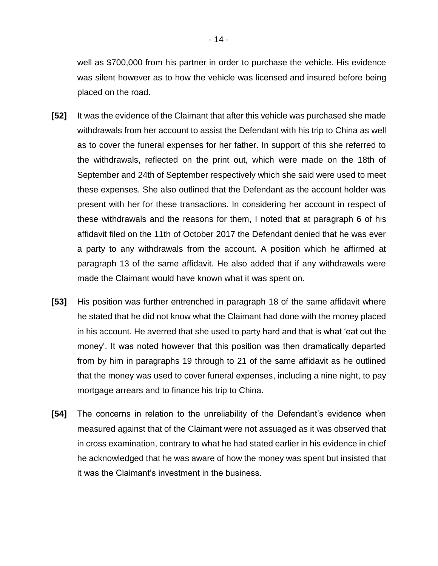well as \$700,000 from his partner in order to purchase the vehicle. His evidence was silent however as to how the vehicle was licensed and insured before being placed on the road.

- **[52]** It was the evidence of the Claimant that after this vehicle was purchased she made withdrawals from her account to assist the Defendant with his trip to China as well as to cover the funeral expenses for her father. In support of this she referred to the withdrawals, reflected on the print out, which were made on the 18th of September and 24th of September respectively which she said were used to meet these expenses. She also outlined that the Defendant as the account holder was present with her for these transactions. In considering her account in respect of these withdrawals and the reasons for them, I noted that at paragraph 6 of his affidavit filed on the 11th of October 2017 the Defendant denied that he was ever a party to any withdrawals from the account. A position which he affirmed at paragraph 13 of the same affidavit. He also added that if any withdrawals were made the Claimant would have known what it was spent on.
- **[53]** His position was further entrenched in paragraph 18 of the same affidavit where he stated that he did not know what the Claimant had done with the money placed in his account. He averred that she used to party hard and that is what 'eat out the money'. It was noted however that this position was then dramatically departed from by him in paragraphs 19 through to 21 of the same affidavit as he outlined that the money was used to cover funeral expenses, including a nine night, to pay mortgage arrears and to finance his trip to China.
- **[54]** The concerns in relation to the unreliability of the Defendant's evidence when measured against that of the Claimant were not assuaged as it was observed that in cross examination, contrary to what he had stated earlier in his evidence in chief he acknowledged that he was aware of how the money was spent but insisted that it was the Claimant's investment in the business.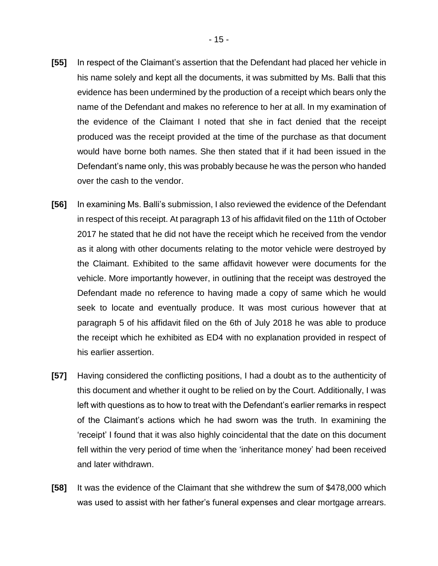- **[55]** In respect of the Claimant's assertion that the Defendant had placed her vehicle in his name solely and kept all the documents, it was submitted by Ms. Balli that this evidence has been undermined by the production of a receipt which bears only the name of the Defendant and makes no reference to her at all. In my examination of the evidence of the Claimant I noted that she in fact denied that the receipt produced was the receipt provided at the time of the purchase as that document would have borne both names. She then stated that if it had been issued in the Defendant's name only, this was probably because he was the person who handed over the cash to the vendor.
- **[56]** In examining Ms. Balli's submission, I also reviewed the evidence of the Defendant in respect of this receipt. At paragraph 13 of his affidavit filed on the 11th of October 2017 he stated that he did not have the receipt which he received from the vendor as it along with other documents relating to the motor vehicle were destroyed by the Claimant. Exhibited to the same affidavit however were documents for the vehicle. More importantly however, in outlining that the receipt was destroyed the Defendant made no reference to having made a copy of same which he would seek to locate and eventually produce. It was most curious however that at paragraph 5 of his affidavit filed on the 6th of July 2018 he was able to produce the receipt which he exhibited as ED4 with no explanation provided in respect of his earlier assertion.
- **[57]** Having considered the conflicting positions, I had a doubt as to the authenticity of this document and whether it ought to be relied on by the Court. Additionally, I was left with questions as to how to treat with the Defendant's earlier remarks in respect of the Claimant's actions which he had sworn was the truth. In examining the 'receipt' I found that it was also highly coincidental that the date on this document fell within the very period of time when the 'inheritance money' had been received and later withdrawn.
- **[58]** It was the evidence of the Claimant that she withdrew the sum of \$478,000 which was used to assist with her father's funeral expenses and clear mortgage arrears.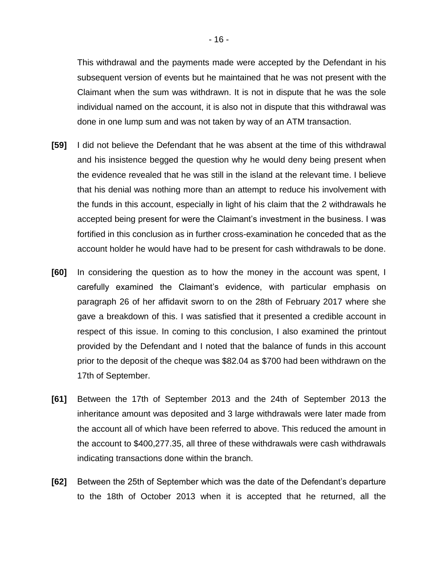This withdrawal and the payments made were accepted by the Defendant in his subsequent version of events but he maintained that he was not present with the Claimant when the sum was withdrawn. It is not in dispute that he was the sole individual named on the account, it is also not in dispute that this withdrawal was done in one lump sum and was not taken by way of an ATM transaction.

- **[59]** I did not believe the Defendant that he was absent at the time of this withdrawal and his insistence begged the question why he would deny being present when the evidence revealed that he was still in the island at the relevant time. I believe that his denial was nothing more than an attempt to reduce his involvement with the funds in this account, especially in light of his claim that the 2 withdrawals he accepted being present for were the Claimant's investment in the business. I was fortified in this conclusion as in further cross-examination he conceded that as the account holder he would have had to be present for cash withdrawals to be done.
- **[60]** In considering the question as to how the money in the account was spent, I carefully examined the Claimant's evidence, with particular emphasis on paragraph 26 of her affidavit sworn to on the 28th of February 2017 where she gave a breakdown of this. I was satisfied that it presented a credible account in respect of this issue. In coming to this conclusion, I also examined the printout provided by the Defendant and I noted that the balance of funds in this account prior to the deposit of the cheque was \$82.04 as \$700 had been withdrawn on the 17th of September.
- **[61]** Between the 17th of September 2013 and the 24th of September 2013 the inheritance amount was deposited and 3 large withdrawals were later made from the account all of which have been referred to above. This reduced the amount in the account to \$400,277.35, all three of these withdrawals were cash withdrawals indicating transactions done within the branch.
- **[62]** Between the 25th of September which was the date of the Defendant's departure to the 18th of October 2013 when it is accepted that he returned, all the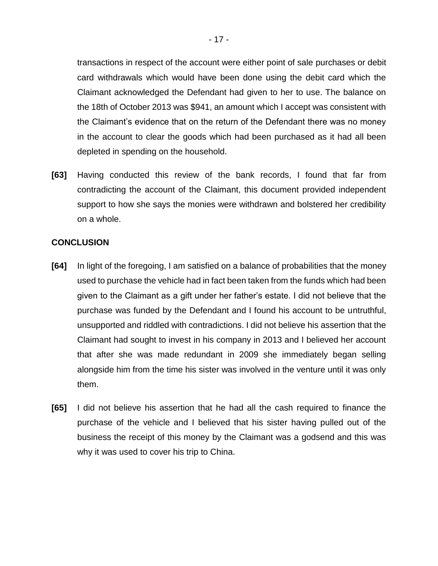transactions in respect of the account were either point of sale purchases or debit card withdrawals which would have been done using the debit card which the Claimant acknowledged the Defendant had given to her to use. The balance on the 18th of October 2013 was \$941, an amount which I accept was consistent with the Claimant's evidence that on the return of the Defendant there was no money in the account to clear the goods which had been purchased as it had all been depleted in spending on the household.

**[63]** Having conducted this review of the bank records, I found that far from contradicting the account of the Claimant, this document provided independent support to how she says the monies were withdrawn and bolstered her credibility on a whole.

### **CONCLUSION**

- **[64]** In light of the foregoing, I am satisfied on a balance of probabilities that the money used to purchase the vehicle had in fact been taken from the funds which had been given to the Claimant as a gift under her father's estate. I did not believe that the purchase was funded by the Defendant and I found his account to be untruthful, unsupported and riddled with contradictions. I did not believe his assertion that the Claimant had sought to invest in his company in 2013 and I believed her account that after she was made redundant in 2009 she immediately began selling alongside him from the time his sister was involved in the venture until it was only them.
- **[65]** I did not believe his assertion that he had all the cash required to finance the purchase of the vehicle and I believed that his sister having pulled out of the business the receipt of this money by the Claimant was a godsend and this was why it was used to cover his trip to China.